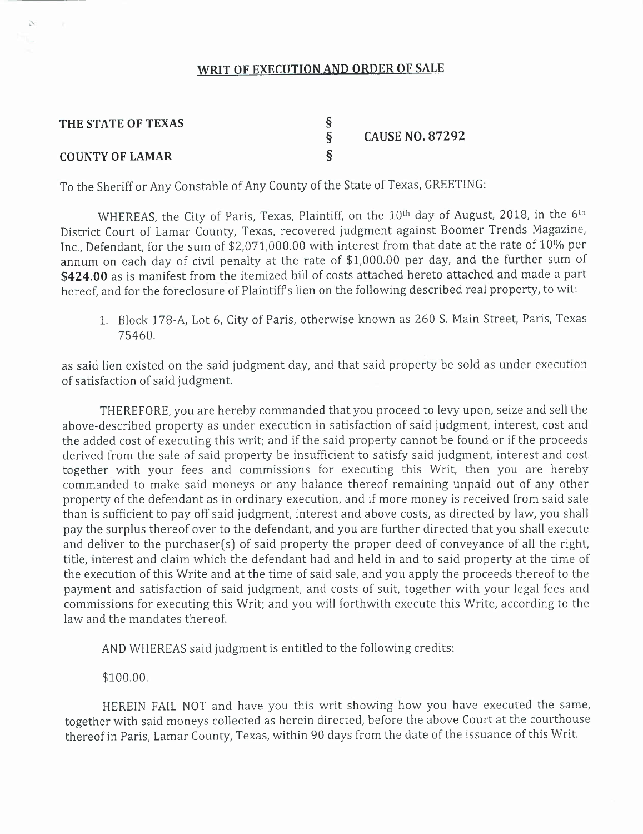#### **WRIT OF EXECUTION AND ORDER OF SALE**

| THE STATE OF TEXAS     | <b>CAUSE NO. 87292</b> |
|------------------------|------------------------|
| <b>COUNTY OF LAMAR</b> |                        |

To the Sheriff or Any Constable of Any County of the State of Texas, GREETING:

WHEREAS, the City of Paris, Texas, Plaintiff, on the  $10^{\rm th}$  day of August, 2018, in the  $6^{\rm th}$ District Court of Lamar County, Texas, recovered judgment against Boomer Trends Magazine, Inc., Defendant, for the sum of \$2,071,000.00 with interest from that date at the rate of 10% per annum on each day of civil penalty at the rate of \$1,000.00 per day, and the further sum of **\$424.00** as is manifest from the itemized bill of costs attached hereto attached and made a part hereof, and for the foreclosure of Plaintiffs lien on the following described real property, to wit:

1. Block *178-A,* Lot 6, City of Paris, otherwise known as 260 S. Main Street, Paris, Texas 75460.

as said lien existed on the said judgment day, and that said property be sold as under execution of satisfaction of said judgment.

THEREFORE, you are hereby commanded that you proceed to levy upon, seize and sell the above-described property as under execution in satisfaction of said judgment, interest, cost and the added cost of executing this writ; and if the said property cannot be found or if the proceeds derived from the sale of said property be insufficient to satisfy said judgment, interest and cost together with your fees and commissions for executing this Writ, then you are hereby commanded to make said moneys or any balance thereof remaining unpaid out of any other property of the defendant as in ordinary execution, and if more money is received from said sale than is sufficient to payoff said judgment, interest and above costs, as directed by law, you shall pay the surplus thereof over to the defendant, and you are further directed that you shall execute and deliver to the purchaser(s) of said property the proper deed of conveyance of all the right, title, interest and claim which the defendant had and held in and to said property at the time of the execution of this Write and at the time of said sale, and you apply the proceeds thereof to the payment and satisfaction of said judgment, and costs of suit, together with your legal fees and commissions for executing this Writ; and you will forthwith execute this Write, according to the law and the mandates thereof.

AND WHEREAS said judgment is entitled to the following credits:

\$100.00.

 $\mathbb{R}^d$ 

HEREIN FAIL NOT and have you this writ showing how you have executed the same, together with said moneys collected as herein directed, before the above Court at the courthouse thereof in Paris, Lamar County, Texas, within 90 days from the date of the issuance of this Writ.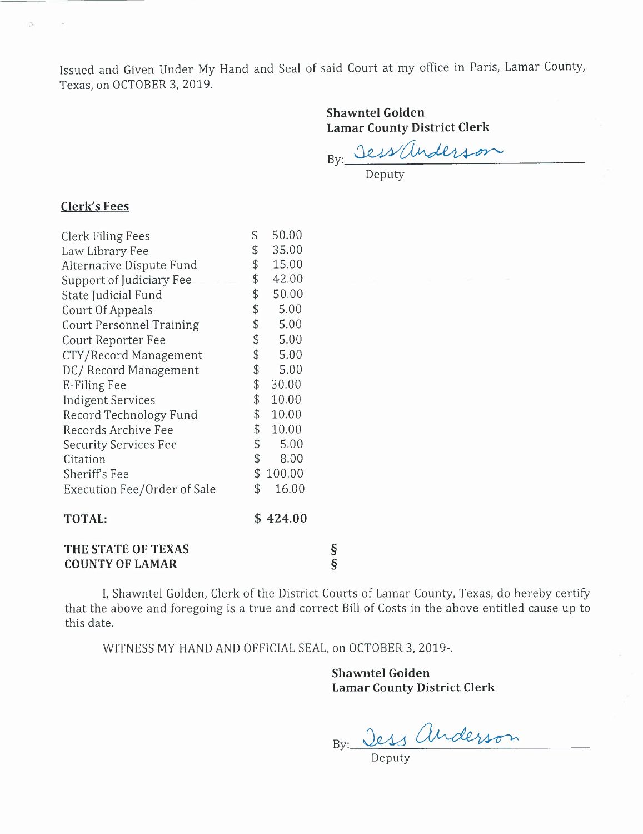Issued and Given Under My Hand and Seal of said Court at my office in Paris, Lamar County, Texas, on OCTOBER 3,2019.

## **Shawntel Golden Lamar County District Clerk**

By: Jess anderson

Deputy

#### **Clerk's Fees**

 $\mathcal{L}$ 

| THE STATE OF TEXAS              |               |                       |  |  |
|---------------------------------|---------------|-----------------------|--|--|
| <b>TOTAL:</b>                   |               | \$424.00              |  |  |
| Execution Fee/Order of Sale     | \$            | 16.00                 |  |  |
| Sheriff's Fee                   |               | \$100.00              |  |  |
| Citation                        | \$            | 8.00                  |  |  |
| <b>Security Services Fee</b>    | \$            | 5.00                  |  |  |
| Records Archive Fee             | \$            | 10.00                 |  |  |
| Record Technology Fund          |               | \$10.00               |  |  |
| <b>Indigent Services</b>        | \$            | 10.00                 |  |  |
| E-Filing Fee                    | \$            | 30.00                 |  |  |
| DC/Record Management            | \$            | 5.00                  |  |  |
| CTY/Record Management           |               | $\frac{1}{2}$<br>5.00 |  |  |
| Court Reporter Fee              | $\frac{1}{2}$ | 5.00                  |  |  |
| <b>Court Personnel Training</b> | \$            | 5.00                  |  |  |
| Court Of Appeals                | \$            | 5.00                  |  |  |
| State Judicial Fund             | \$            | 50.00                 |  |  |
| Support of Judiciary Fee        | \$            | 42.00                 |  |  |
| Alternative Dispute Fund        | \$            | 15.00                 |  |  |
| Law Library Fee                 | \$            | 35.00                 |  |  |
| Clerk Filing Fees               | \$            | 50.00                 |  |  |

**COUNTY OF LAMAR** §

I, Shawntel Golden, Clerk of the District Courts of Lamar County, Texas, do hereby certify that the above and foregoing is a true and correct Bill of Costs in the above entitled cause up to this date.

WITNESS MY HAND AND OFFICIAL SEAL, on OCTOBER 3,2019-.

**Shawntel Golden Lamar County District Clerk**

BY:---=-~----=-=\_~ \_

Deputy